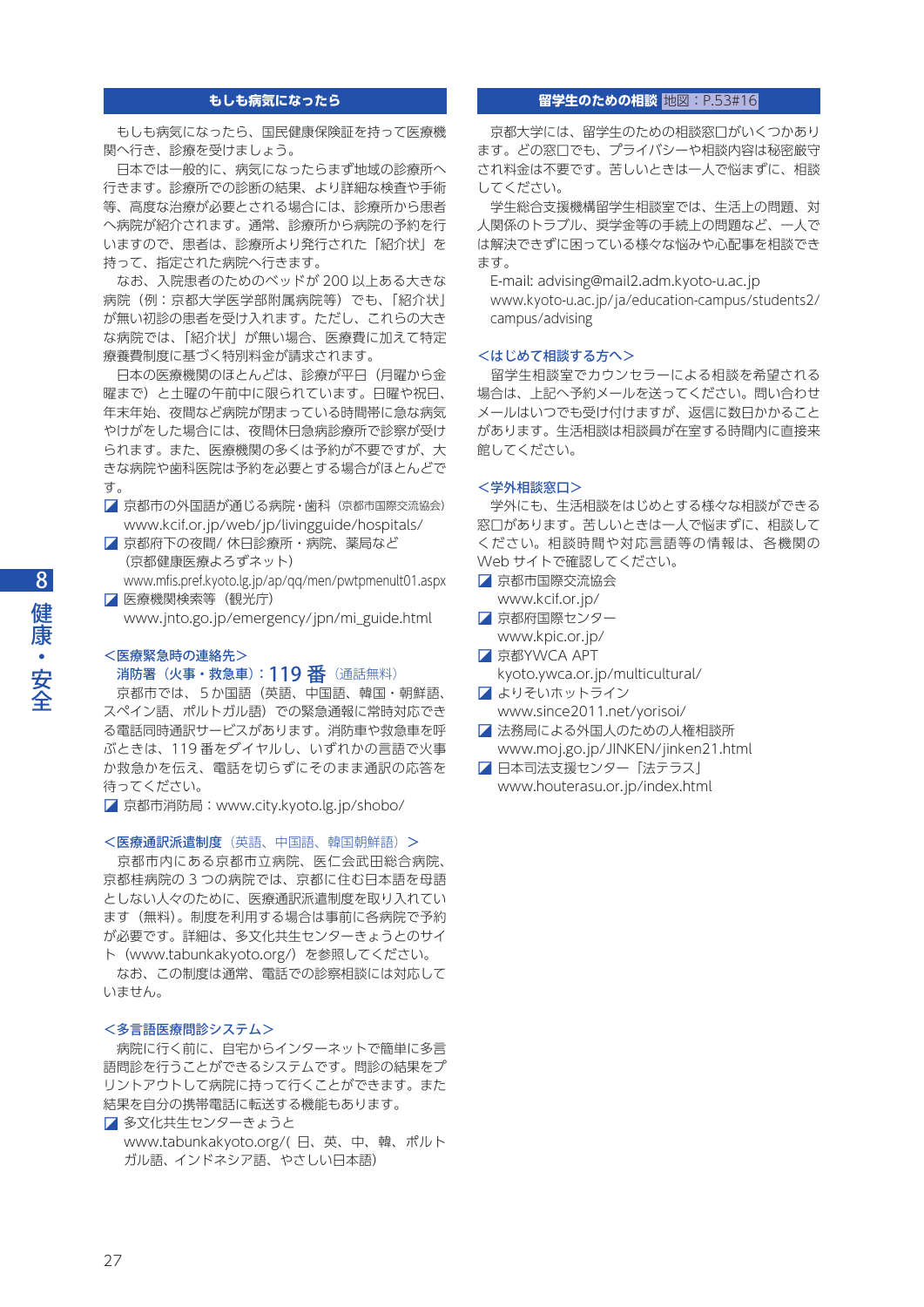# **もしも病気になったら**

 もしも病気になったら、国民健康保険証を持って医療機 関へ行き、診療を受けましょう。

 日本では一般的に、病気になったらまず地域の診療所へ 行きます。診療所での診断の結果、より詳細な検査や手術 等、高度な治療が必要とされる場合には、診療所から患者 へ病院が紹介されます。通常、診療所から病院の予約を行 いますので、患者は、診療所より発行された「紹介状」を 持って、指定された病院へ行きます。

 なお、入院患者のためのベッドが 200 以上ある大きな 病院(例:京都大学医学部附属病院等)でも、「紹介状」 が無い初診の患者を受け入れます。ただし、これらの大き な病院では、「紹介状」が無い場合、医療費に加えて特定 療養費制度に基づく特別料金が請求されます。

日本の医療機関のほとんどは、診療が平日(月曜から金 曜まで)と土曜の午前中に限られています。日曜や祝日、 年末年始、夜間など病院が閉まっている時間帯に急な病気 やけがをした場合には、夜間休日急病診療所で診察が受け られます。また、医療機関の多くは予約が不要ですが、大 きな病院や歯科医院は予約を必要とする場合がほとんどで す。

- 京都市の外国語が通じる病院・歯科(京都市国際交流協会) www.kcif.or.jp/web/jp/livingguide/hospitals/
- 京都府下の夜間/ 休日診療所・病院、薬局など (京都健康医療よろずネット)
- www.mfis.pref.kyoto.lg.jp/ap/qq/men/pwtpmenult01.aspx ◪ 医療機関検索等(観光庁)

www.jnto.go.jp/emergency/jpn/mi\_guide.html

# <医療緊急時の連絡先> 消防署 (火事・救急車):119 番 (通話無料)

 京都市では、5か国語(英語、中国語、韓国・朝鮮語、 スペイン語、ポルトガル語)での緊急通報に常時対応でき る電話同時通訳サービスがあります。消防車や救急車を呼 ぶときは、119 番をダイヤルし、いずれかの言語で火事 か救急かを伝え、電話を切らずにそのまま通訳の応答を 待ってください。

◪ 京都市消防局:www.city.kyoto.lg.jp/shobo/

#### <医療通訳派遣制度(英語、中国語、韓国朝鮮語)>

 京都市内にある京都市立病院、医仁会武田総合病院、 京都桂病院の 3 つの病院では、京都に住む日本語を母語 としない人々のために、医療通訳派遣制度を取り入れてい ます(無料)。制度を利用する場合は事前に各病院で予約 が必要です。詳細は、多文化共生センターきょうとのサイ ト(www.tabunkakyoto.org/)を参照してください。

 なお、この制度は通常、電話での診察相談には対応して いません。

# <多言語医療問診システム>

 病院に行く前に、自宅からインターネットで簡単に多言 語問診を行うことができるシステムです。問診の結果をプ リントアウトして病院に持って行くことができます。また 結果を自分の携帯電話に転送する機能もあります。

■多文化共生センターきょうと www.tabunkakyoto.org/( 日、英、中、韓、ポルト ガル語、インドネシア語、やさしい日本語)

#### **留学生のための相談**  地図:P.53#16

 京都大学には、留学生のための相談窓口がいくつかあり ます。どの窓口でも、プライバシーや相談内容は秘密厳守 され料金は不要です。苦しいときは一人で悩まずに、相談 してください。

 学生総合支援機構留学生相談室では、生活上の問題、対 人関係のトラブル、奨学金等の手続上の問題など、一人で は解決できずに困っている様々な悩みや心配事を相談でき ます。

 E-mail: advising@mail2.adm.kyoto-u.ac.jp www.kyoto-u.ac.jp/ja/education-campus/students2/ campus/advising

#### <はじめて相談する方へ>

 留学生相談室でカウンセラーによる相談を希望される 場合は、上記へ予約メールを送ってください。問い合わせ メールはいつでも受け付けますが、返信に数日かかること があります。生活相談は相談員が在室する時間内に直接来 館してください。

# <学外相談窓口>

 学外にも、生活相談をはじめとする様々な相談ができる 窓口があります。苦しいときは一人で悩まずに、相談して ください。相談時間や対応言語等の情報は、各機関の Web サイトで確認してください。

- ◪ 京都市国際交流協会 www.kcif.or.jp/
- 京都府国際センター www.kpic.or.jp/
- **京都YWCA APT**
- kyoto.ywca.or.jp/multicultural/ ◪ よりそいホットライン
- www.since2011.net/yorisoi/
- 法務局による外国人のための人権相談所 www.moj.go.jp/JINKEN/jinken21.html
- 日本司法支援センター「法テラス」 www.houterasu.or.jp/index.html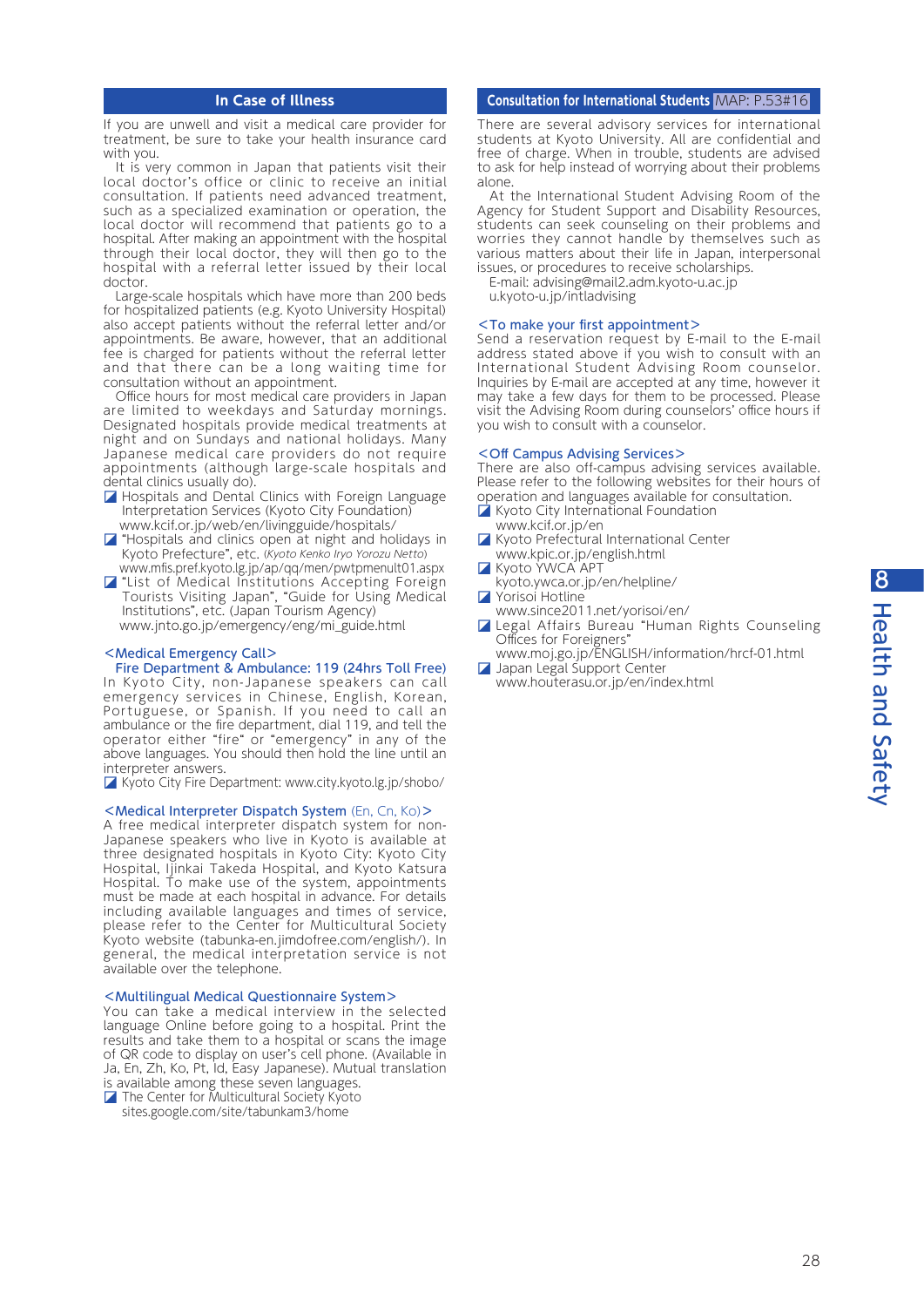# **In Case of Illness**

If you are unwell and visit a medical care provider for treatment, be sure to take your health insurance card with you.

It is very common in Japan that patients visit their local doctor's office or clinic to receive an initial consultation. If patients need advanced treatment, such as a specialized examination or operation, the local doctor will recommend that patients go to a hospital. After making an appointment with the hospital through their local doctor, they will then go to the hospital with a referral letter issued by their local doctor.

 Large-scale hospitals which have more than 200 beds for hospitalized patients (e.g. Kyoto University Hospital) also accept patients without the referral letter and/or appointments. Be aware, however, that an additional fee is charged for patients without the referral letter and that there can be a long waiting time for consultation without an appointment.

 Office hours for most medical care providers in Japan are limited to weekdays and Saturday mornings. Designated hospitals provide medical treatments at night and on Sundays and national holidays. Many Japanese medical care providers do not require appointments (although large-scale hospitals and dental clinics usually do).

- Hospitals and Dental Clinics with Foreign Language Interpretation Services (Kyoto City Foundation) www.kcif.or.jp/web/en/livingguide/hospitals/
- $\nabla$  "Hospitals and clinics open at night and holidays in Kyoto Prefecture", etc. (Kyoto Kenko Iryo Yorozu Netto) www.mfis.pref.kyoto.lg.jp/ap/qq/men/pwtpmenult01.aspx
- ◪ "List of Medical Institutions Accepting Foreign Tourists Visiting Japan", "Guide for Using Medical Institutions", etc. (Japan Tourism Agency) www.jnto.go.jp/emergency/eng/mi\_guide.html

#### <Medical Emergency Call>

#### Fire Department & Ambulance: 119 (24hrs Toll Free) In Kyoto City, non-Japanese speakers can call emergency services in Chinese, English, Korean, Portuguese, or Spanish. If you need to call an ambulance or the fire department, dial 119, and tell the operator either "fire" or "emergency" in any of the above languages. You should then hold the line until an

interpreter answers. ◪ Kyoto City Fire Department: www.city.kyoto.lg.jp/shobo/

# <Medical Interpreter Dispatch System (En, Cn, Ko)>

A free medical interpreter dispatch system for non-Japanese speakers who live in Kyoto is available at three designated hospitals in Kyoto City: Kyoto City Hospital, Ijinkai Takeda Hospital, and Kyoto Katsura Hospital. To make use of the system, appointments must be made at each hospital in advance. For details including available languages and times of service, please refer to the Center for Multicultural Society Kyoto website (tabunka-en.jimdofree.com/english/). In general, the medical interpretation service is not available over the telephone.

#### <Multilingual Medical Questionnaire System>

You can take a medical interview in the selected language Online before going to a hospital. Print the results and take them to a hospital or scans the image of QR code to display on user's cell phone. (Available in Ja, En, Zh, Ko, Pt, Id, Easy Japanese). Mutual translation is available among these seven languages.

■ The Center for Multicultural Society Kyoto sites.google.com/site/tabunkam3/home

#### **Consultation for International Students** MAP: P.53#16

There are several advisory services for international students at Kyoto University. All are confidential and free of charge. When in trouble, students are advised to ask for help instead of worrying about their problems alone.

 At the International Student Advising Room of the Agency for Student Support and Disability Resources, students can seek counseling on their problems and worries they cannot handle by themselves such as various matters about their life in Japan, interpersonal issues, or procedures to receive scholarships.

E-mail: advising@mail2.adm.kyoto-u.ac.jp

u.kyoto-u.jp/intladvising

#### <To make your first appointment>

Send a reservation request by E-mail to the E-mail address stated above if you wish to consult with an International Student Advising Room counselor. Inquiries by E-mail are accepted at any time, however it may take a few days for them to be processed. Please visit the Advising Room during counselors' office hours if you wish to consult with a counselor.

# <Off Campus Advising Services>

There are also off-campus advising services available. Please refer to the following websites for their hours of operation and languages available for consultation.

- ◪ Kyoto City International Foundation
- www.kcif.or.jp/en **□ Kyoto Prefectural International Center**
- www.kpic.or.jp/english.html
- **Z** Kyoto YWCA APT
- kyoto.ywca.or.jp/en/helpline/
- ◪ Yorisoi Hotline
- www.since2011.net/yorisoi/en/
- ◪ Legal Affairs Bureau "Human Rights Counseling Offices for Foreigners"
- www.moj.go.jp/ENGLISH/information/hrcf-01.html ◪ Japan Legal Support Center www.houterasu.or.jp/en/index.html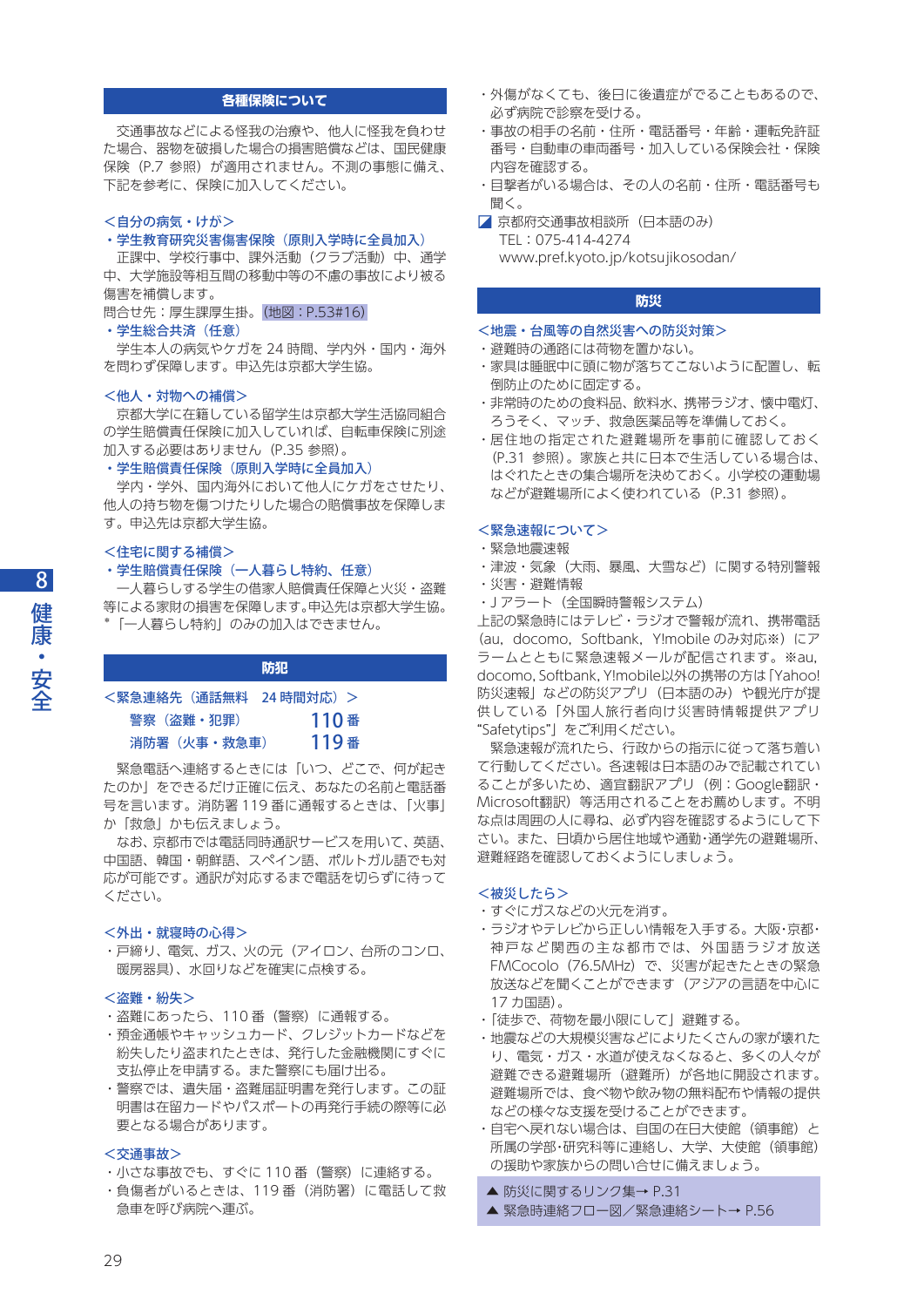# **各種保険について**

 交通事故などによる怪我の治療や、他人に怪我を負わせ た場合、器物を破損した場合の損害賠償などは、国民健康 保険(P.7 参照)が適用されません。不測の事態に備え、 下記を参考に、保険に加入してください。

#### <自分の病気・けが>

#### • 学生教育研究災害傷害保険(原則入学時に全員加入)

正課中、学校行事中、課外活動(クラブ活動)中、通学 中、大学施設等相互間の移動中等の不慮の事故により被る 傷害を補償します。

問合せ先:厚生課厚生掛。 (地図:P.53#16)

# ・学生総合共済(任意)

 学生本人の病気やケガを 24 時間、学内外・国内・海外 を問わず保障します。申込先は京都大学生協。

#### <他人・対物への補償>

 京都大学に在籍している留学生は京都大学生活協同組合 の学生賠償責任保険に加入していれば、自転車保険に別途 加入する必要はありません (P.35 参照)。

## • 学生賠償責任保険(原則入学時に全員加入)

 学内・学外、国内海外において他人にケガをさせたり、 他人の持ち物を傷つけたりした場合の賠償事故を保障しま す。申込先は京都大学生協。

# <住宅に関する補償>

# • 学生賠償責任保険(一人暮らし特約、任意)

 一人暮らしする学生の借家人賠償責任保障と火災・盗難 等による家財の損害を保障します。申込先は京都大学生協。 「一人暮らし特約」のみの加入はできません。

#### **防犯**

| <緊急連絡先(通話無料:24 時間対応)> |      |
|-----------------------|------|
| 警察(盗難・犯罪)             | 110番 |
| 消防署(火事・救急車)           | 119番 |

 緊急電話へ連絡するときには「いつ、どこで、何が起き たのか」をできるだけ正確に伝え、あなたの名前と電話番 号を言います。消防署 119 番に通報するときは、「火事」 か「救急」かも伝えましょう。

 なお、京都市では電話同時通訳サービスを用いて、英語、 中国語、韓国・朝鮮語、スペイン語、ポルトガル語でも対 応が可能です。通訳が対応するまで電話を切らずに待って ください。

# <外出・就寝時の心得>

・戸締り、電気、ガス、火の元(アイロン、台所のコンロ、 暖房器具)、水回りなどを確実に点検する。

#### <盗難・紛失>

- ・盗難にあったら、110 番(警察)に通報する。
- ・預金通帳やキャッシュカード、クレジットカードなどを 紛失したり盗まれたときは、発行した金融機関にすぐに 支払停止を申請する。また警察にも届け出る。
- ・警察では、遺失届・盗難届証明書を発行します。この証 明書は在留カードやパスポートの再発行手続の際等に必 要となる場合があります。

#### <交通事故>

- ・小さな事故でも、すぐに 110 番(警察)に連絡する。
- ・負傷者がいるときは、119 番(消防署)に電話して救 急車を呼び病院へ運ぶ。
- ・外傷がなくても、後日に後遺症がでることもあるので、 必ず病院で診察を受ける。
- ・事故の相手の名前・住所・電話番号・年齢・運転免許証 番号・自動車の車両番号・加入している保険会社・保険 内容を確認する。
- ・目撃者がいる場合は、その人の名前・住所・電話番号も 聞く。
- 京都府交通事故相談所 (日本語のみ) TEL:075-414-4274 www.pref.kyoto.jp/kotsujikosodan/

# **防災**

#### <地震・台風等の自然災害への防災対策>

- ・避難時の通路には荷物を置かない。
- ・家具は睡眠中に頭に物が落ちてこないように配置し、転 倒防止のために固定する。
- ・非常時のための食料品、飲料水、携帯ラジオ、懐中電灯、 ろうそく、マッチ、救急医薬品等を準備しておく。
- ・居住地の指定された避難場所を事前に確認しておく (P.31 参照)。家族と共に日本で生活している場合は、 はぐれたときの集合場所を決めておく。小学校の運動場 などが避難場所によく使われている(P.31 参照)。

# <緊急速報について>

- ・緊急地震速報
- ・津波・気象(大雨、暴風、大雪など)に関する特別警報
- ・災害・避難情報
- ・J アラート(全国瞬時警報システム)

上記の緊急時にはテレビ・ラジオで警報が流れ、携帯電話 (au, docomo, Softbank, Y!mobile のみ対応※)にア ラームとともに緊急速報メールが配信されます。※au, docomo, Softbank, Y!mobile以外の携帯の方は「Yahoo! 防災速報」などの防災アプリ(日本語のみ)や観光庁が提 供している「外国人旅行者向け災害時情報提供アプリ "Safetytips"」をご利用ください。

 緊急速報が流れたら、行政からの指示に従って落ち着い て行動してください。各速報は日本語のみで記載されてい ることが多いため、適宜翻訳アプリ(例:Google翻訳・ Microsoft翻訳)等活用されることをお薦めします。不明 な点は周囲の人に尋ね、必ず内容を確認するようにして下 さい。また、日頃から居住地域や通勤・通学先の避難場所、 避難経路を確認しておくようにしましょう。

# <被災したら>

- ・すぐにガスなどの火元を消す。
- ・ラジオやテレビから正しい情報を入手する。大阪・京都・ 神戸など関西の主な都市では、外国語ラジオ放送 FMCocolo (76.5MHz) で、災害が起きたときの緊急 放送などを聞くことができます(アジアの言語を中心に 17 カ国語)。
- ・「徒歩で、荷物を最小限にして」避難する。
- ・地震などの大規模災害などによりたくさんの家が壊れた り、電気・ガス・水道が使えなくなると、多くの人々が 避難できる避難場所(避難所)が各地に開設されます。 避難場所では、食べ物や飲み物の無料配布や情報の提供 などの様々な支援を受けることができます。
- ・自宅へ戻れない場合は、自国の在日大使館(領事館)と 所属の学部・研究科等に連絡し、大学、大使館(領事館) の援助や家族からの問い合せに備えましょう。
- **▲ 防災に関するリンク集→ P.31**
- ▲ 緊急時連絡フロー図/緊急連絡シート→ P.56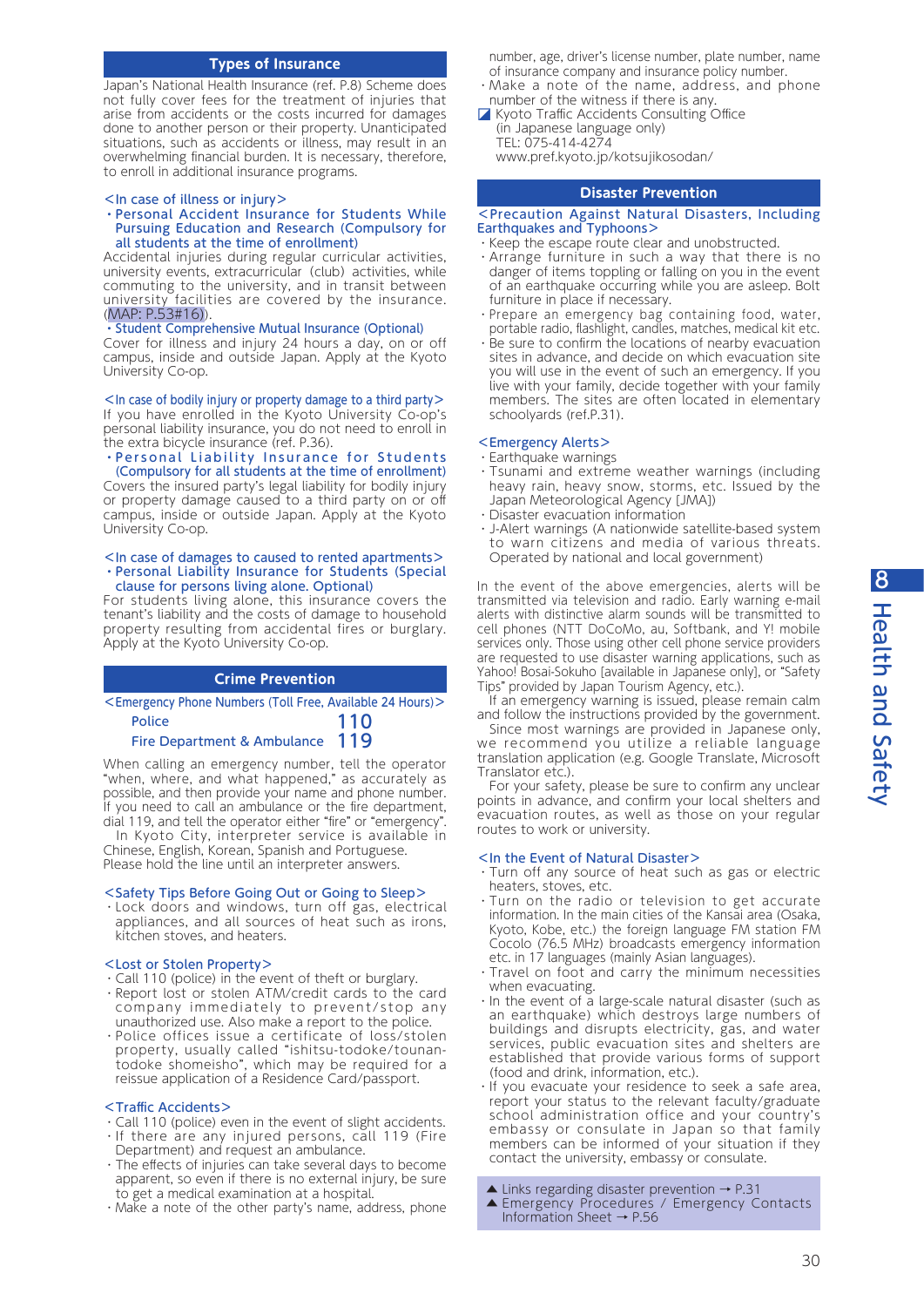# **Types of Insurance**

Japan's National Health Insurance (ref. P.8) Scheme does not fully cover fees for the treatment of injuries that arise from accidents or the costs incurred for damages done to another person or their property. Unanticipated situations, such as accidents or illness, may result in an overwhelming financial burden. It is necessary, therefore, to enroll in additional insurance programs.

#### <In case of illness or injury>

#### ・Personal Accident Insurance for Students While Pursuing Education and Research (Compulsory for all students at the time of enrollment)

Accidental injuries during regular curricular activities, university events, extracurricular (club) activities, while commuting to the university, and in transit between university facilities are covered by the insurance. (MAP: P.53#16)). MAP: P.53#16)

#### ・Student Comprehensive Mutual Insurance (Optional)

Cover for illness and injury 24 hours a day, on or off campus, inside and outside Japan. Apply at the Kyoto University Co-op.

 $\leq$  In case of bodily injury or property damage to a third party $\geq$ If you have enrolled in the Kyoto University Co-op's personal liability insurance, you do not need to enroll in the extra bicycle insurance (ref. P.36).

# ・Personal Liability Insurance for Students

(Compulsory for all students at the time of enrollment) Covers the insured party's legal liability for bodily injury or property damage caused to a third party on or off campus, inside or outside Japan. Apply at the Kyoto University Co-op.

#### <In case of damages to caused to rented apartments> ・Personal Liability Insurance for Students (Special clause for persons living alone. Optional)

For students living alone, this insurance covers the tenant's liability and the costs of damage to household property resulting from accidental fires or burglary. Apply at the Kyoto University Co-op.

# **Crime Prevention**

| $\leq$ Emergency Phone Numbers (Toll Free, Available 24 Hours) $>$ |     |
|--------------------------------------------------------------------|-----|
| <b>Police</b>                                                      | 110 |
| Fire Department & Ambulance                                        | 119 |

When calling an emergency number, tell the operator "when, where, and what happened," as accurately as possible, and then provide your name and phone number. If you need to call an ambulance or the fire department, dial 119, and tell the operator either "fire" or "emergency".

 In Kyoto City, interpreter service is available in Chinese, English, Korean, Spanish and Portuguese. Please hold the line until an interpreter answers.

# <Safety Tips Before Going Out or Going to Sleep>

・Lock doors and windows, turn off gas, electrical appliances, and all sources of heat such as irons, kitchen stoves, and heaters.

#### <Lost or Stolen Property>

- ・Call 110 (police) in the event of theft or burglary.
- ・Report lost or stolen ATM/credit cards to the card company immediately to prevent/stop any unauthorized use. Also make a report to the police.
- ・Police offices issue a certificate of loss/stolen property, usually called "ishitsu-todoke/tounantodoke shomeisho", which may be required for a reissue application of a Residence Card/passport.

#### <Traffic Accidents>

- ・Call 110 (police) even in the event of slight accidents. ・If there are any injured persons, call 119 (Fire
- Department) and request an ambulance.
- ・The effects of injuries can take several days to become apparent, so even if there is no external injury, be sure to get a medical examination at a hospital.
- ・Make a note of the other party's name, address, phone

number, age, driver's license number, plate number, name of insurance company and insurance policy number.

- ・Make a note of the name, address, and phone number of the witness if there is any.
- Kyoto Traffic Accidents Consulting Office (in Japanese language only) TEL: 075-414-4274 www.pref.kyoto.jp/kotsujikosodan/

#### **Disaster Prevention**

#### <Precaution Against Natural Disasters, Including Earthquakes and Typhoons>

- ・Keep the escape route clear and unobstructed.
- ・Arrange furniture in such a way that there is no danger of items toppling or falling on you in the event of an earthquake occurring while you are asleep. Bolt furniture in place if necessary.
- ・Prepare an emergency bag containing food, water, portable radio, flashlight, candles, matches, medical kit etc.
- ・Be sure to confirm the locations of nearby evacuation sites in advance, and decide on which evacuation site you will use in the event of such an emergency. If you live with your family, decide together with your family members. The sites are often located in elementary schoolyards (ref.P.31).

#### <Emergency Alerts>

- ・Earthquake warnings
- ・Tsunami and extreme weather warnings (including heavy rain, heavy snow, storms, etc. Issued by the Japan Meteorological Agency [JMA])
- ・Disaster evacuation information
- ・J-Alert warnings (A nationwide satellite-based system to warn citizens and media of various threats. Operated by national and local government)

In the event of the above emergencies, alerts will be transmitted via television and radio. Early warning e-mail alerts with distinctive alarm sounds will be transmitted to cell phones (NTT DoCoMo, au, Softbank, and Y! mobile services only. Those using other cell phone service providers are requested to use disaster warning applications, such as Yahoo! Bosai-Sokuho [available in Japanese only], or "Safety Tips" provided by Japan Tourism Agency, etc.).

If an emergency warning is issued, please remain calm and follow the instructions provided by the government.

 Since most warnings are provided in Japanese only, we recommend you utilize a reliable language translation application (e.g. Google Translate, Microsoft Translator etc.).

 For your safety, please be sure to confirm any unclear points in advance, and confirm your local shelters and evacuation routes, as well as those on your regular routes to work or university.

# <In the Event of Natural Disaster>

- ・Turn off any source of heat such as gas or electric heaters, stoves, etc.
- ・Turn on the radio or television to get accurate information. In the main cities of the Kansai area (Osaka, Kyoto, Kobe, etc.) the foreign language FM station FM Cocolo (76.5 MHz) broadcasts emergency information etc. in 17 languages (mainly Asian languages).
- ・Travel on foot and carry the minimum necessities when evacuating.
- $\cdot$  In the event of a large-scale natural disaster (such as an earthquake) which destroys large numbers of buildings and disrupts electricity, gas, and water services, public evacuation sites and shelters are established that provide various forms of support (food and drink, information, etc.).
- ・If you evacuate your residence to seek a safe area, report your status to the relevant faculty/graduate school administration office and your country's embassy or consulate in Japan so that family members can be informed of your situation if they contact the university, embassy or consulate.
- $\triangle$  Links regarding disaster prevention  $\rightarrow$  P.31
- ▲ Emergency Procedures / Emergency Contacts Information Sheet → P.56